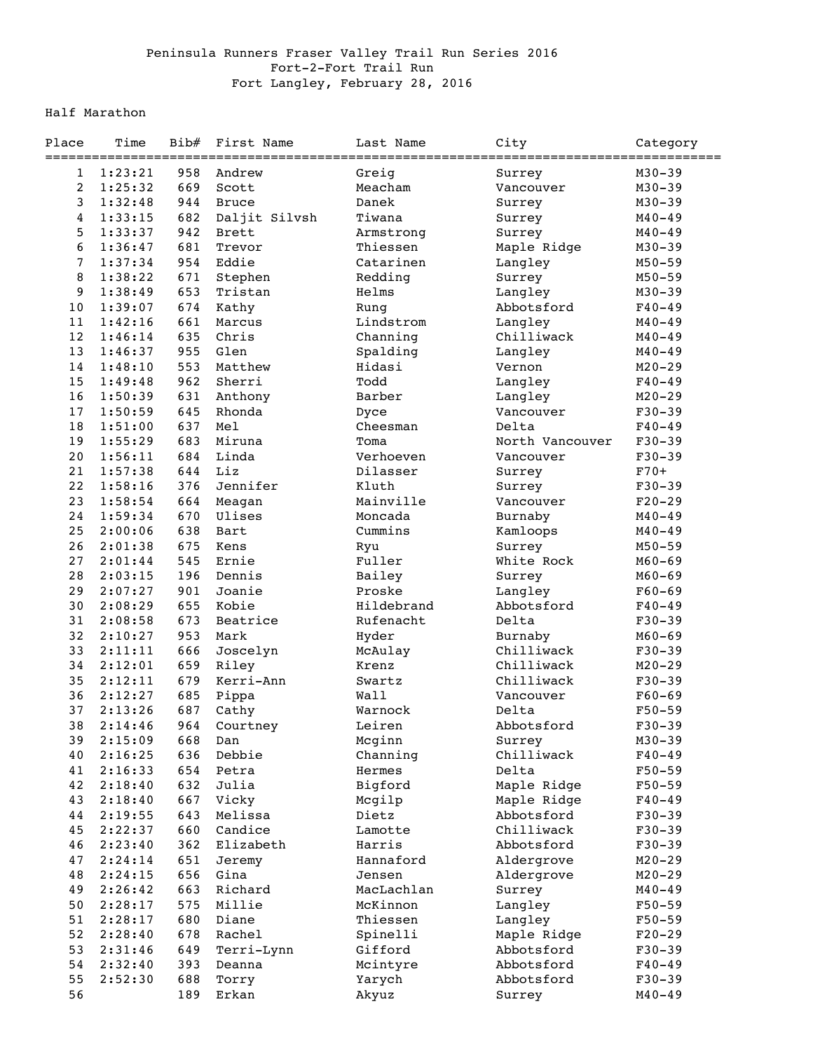## Peninsula Runners Fraser Valley Trail Run Series 2016 Fort-2-Fort Trail Run Fort Langley, February 28, 2016

## Half Marathon

| Place          | Time<br>================= | Bib# | First Name         | Last Name  | City                  | Category<br>========= |
|----------------|---------------------------|------|--------------------|------------|-----------------------|-----------------------|
| 1              | 1:23:21                   | 958  | Andrew             | Greig      | Surrey                | $M30 - 39$            |
| $\overline{2}$ | 1:25:32                   | 669  | Scott              | Meacham    | Vancouver             | $M30 - 39$            |
| $\mathsf{3}$   | 1:32:48                   | 944  | <b>Bruce</b>       | Danek      | Surrey                | $M30 - 39$            |
| $\overline{4}$ | 1:33:15                   | 682  | Daljit Silvsh      | Tiwana     | Surrey                | $M40 - 49$            |
| 5              | 1:33:37                   | 942  | <b>Brett</b>       | Armstrong  | Surrey                | $M40 - 49$            |
| 6              | 1:36:47                   | 681  | Trevor             | Thiessen   | Maple Ridge           | $M30 - 39$            |
| $\overline{7}$ | 1:37:34                   | 954  | Eddie              | Catarinen  | Langley               | $M50 - 59$            |
| 8              | 1:38:22                   | 671  | Stephen            | Redding    | Surrey                | $M50 - 59$            |
| 9              | 1:38:49                   | 653  | Tristan            | Helms      | Langley               | $M30 - 39$            |
| 10             | 1:39:07                   | 674  | Kathy              | Rung       | Abbotsford            | $F40 - 49$            |
| 11             | 1:42:16                   | 661  | Marcus             | Lindstrom  | Langley               | $M40 - 49$            |
| 12             | 1:46:14                   | 635  | Chris              | Channing   | Chilliwack            | $M40 - 49$            |
| 13             | 1:46:37                   | 955  | Glen               | Spalding   | Langley               | $M40 - 49$            |
| 14             | 1:48:10                   | 553  | Matthew            | Hidasi     | Vernon                | $M20 - 29$            |
| 15             | 1:49:48                   | 962  | Sherri             | Todd       | Langley               | $F40 - 49$            |
| 16             | 1:50:39                   | 631  | Anthony            | Barber     | Langley               | $M20 - 29$            |
| 17             | 1:50:59                   | 645  | Rhonda             | Dyce       | Vancouver             | $F30 - 39$            |
| 18             | 1:51:00                   | 637  | Mel                | Cheesman   | Delta                 | $F40 - 49$            |
| 19             | 1:55:29                   | 683  | Miruna             | Toma       | North Vancouver       | $F30-39$              |
| 20             | 1:56:11                   | 684  | Linda              | Verhoeven  | Vancouver             | $F30-39$              |
| 21             | 1:57:38                   | 644  | Liz                | Dilasser   | Surrey                | $F70+$                |
| 22             | 1:58:16                   | 376  | Jennifer           | Kluth      | Surrey                | $F30-39$              |
| 23             | 1:58:54                   | 664  | Meagan             | Mainville  | Vancouver             | $F20-29$              |
| 24             | 1:59:34                   | 670  | Ulises             | Moncada    | Burnaby               | $M40 - 49$            |
| 25             | 2:00:06                   | 638  | Bart               | Cummins    | Kamloops              | $M40 - 49$            |
| 26             | 2:01:38                   | 675  | Kens               | Ryu        | Surrey                | $M50 - 59$            |
| 27             |                           | 545  | Ernie              | Fuller     | White Rock            |                       |
| 28             | 2:01:44<br>2:03:15        | 196  | Dennis             | Bailey     | Surrey                | $M60 - 69$            |
| 29             | 2:07:27                   | 901  | Joanie             | Proske     |                       | $M60 - 69$            |
| 30             | 2:08:29                   | 655  | Kobie              | Hildebrand | Langley<br>Abbotsford | $F60 - 69$            |
| 31             | 2:08:58                   | 673  | Beatrice           | Rufenacht  | Delta                 | $F40 - 49$            |
| 32             |                           |      |                    |            |                       | $F30-39$              |
|                | 2:10:27                   | 953  | Mark               | Hyder      | Burnaby<br>Chilliwack | $M60 - 69$            |
| 33             | 2:11:11                   | 666  | Joscelyn           | McAulay    |                       | $F30-39$              |
| 34             | 2:12:01                   | 659  | Riley<br>Kerri-Ann | Krenz      | Chilliwack            | $M20 - 29$            |
| 35             | 2:12:11                   | 679  |                    | Swartz     | Chilliwack            | $F30-39$              |
| 36             | 2:12:27                   | 685  | Pippa              | Wall       | Vancouver             | $F60 - 69$            |
| 37             | 2:13:26                   | 687  | Cathy              | Warnock    | Delta                 | $F50 - 59$            |
| 38             | 2:14:46                   | 964  | Courtney           | Leiren     | Abbotsford            | $F30 - 39$            |
| 39             | 2:15:09                   | 668  | Dan                | Mcginn     | Surrey                | $M30 - 39$            |
| 40             | 2:16:25                   | 636  | Debbie             | Channing   | Chilliwack            | $F40 - 49$            |
| 41             | 2:16:33                   | 654  | Petra              | Hermes     | Delta                 | $F50 - 59$            |
| 42             | 2:18:40                   | 632  | Julia              | Bigford    | Maple Ridge           | $F50 - 59$            |
| 43             | 2:18:40                   | 667  | Vicky              | Mcgilp     | Maple Ridge           | $F40 - 49$            |
| 44             | 2:19:55                   | 643  | Melissa            | Dietz      | Abbotsford            | $F30 - 39$            |
| 45             | 2:22:37                   | 660  | Candice            | Lamotte    | Chilliwack            | $F30-39$              |
| 46             | 2:23:40                   | 362  | Elizabeth          | Harris     | Abbotsford            | $F30 - 39$            |
| 47             | 2:24:14                   | 651  | Jeremy             | Hannaford  | Aldergrove            | $M20 - 29$            |
| 48             | 2:24:15                   | 656  | Gina               | Jensen     | Aldergrove            | $M20 - 29$            |
| 49             | 2:26:42                   | 663  | Richard            | MacLachlan | Surrey                | $M40 - 49$            |
| 50             | 2:28:17                   | 575  | Millie             | McKinnon   | Langley               | $F50 - 59$            |
| 51             | 2:28:17                   | 680  | Diane              | Thiessen   | Langley               | $F50 - 59$            |
| 52             | 2:28:40                   | 678  | Rachel             | Spinelli   | Maple Ridge           | $F20-29$              |
| 53             | 2:31:46                   | 649  | Terri-Lynn         | Gifford    | Abbotsford            | $F30 - 39$            |
| 54             | 2:32:40                   | 393  | Deanna             | Mcintyre   | Abbotsford            | $F40 - 49$            |
| 55             | 2:52:30                   | 688  | Torry              | Yarych     | Abbotsford            | $F30 - 39$            |
| 56             |                           | 189  | Erkan              | Akyuz      | Surrey                | $M40 - 49$            |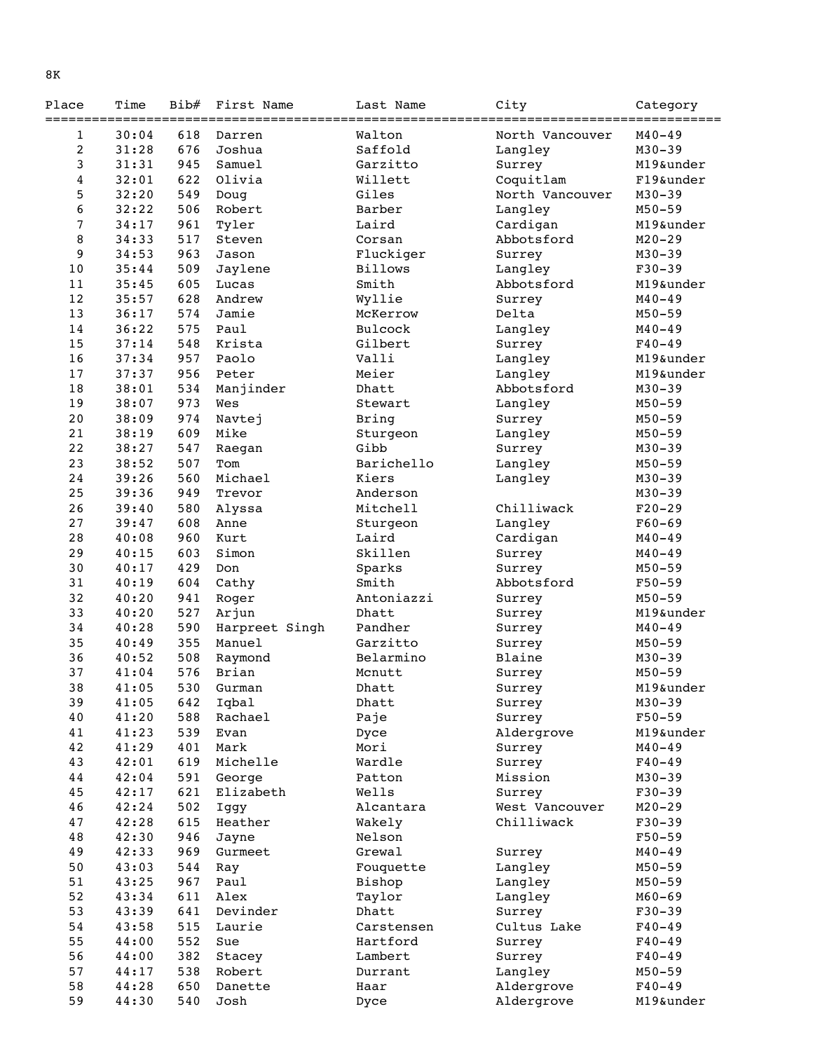| Place          | Time  | Bib# | First Name     | Last Name      | City<br>:============================== | Category   |
|----------------|-------|------|----------------|----------------|-----------------------------------------|------------|
| 1              | 30:04 | 618  | Darren         | Walton         | North Vancouver                         | $M40 - 49$ |
| $\overline{c}$ | 31:28 | 676  | Joshua         | Saffold        | Langley                                 | $M30 - 39$ |
| 3              | 31:31 | 945  | Samuel         | Garzitto       | Surrey                                  | M19&under  |
| 4              | 32:01 | 622  | Olivia         | Willett        | Coquitlam                               | F19&under  |
| 5              | 32:20 | 549  | Doug           | Giles          | North Vancouver                         | $M30 - 39$ |
| 6              | 32:22 | 506  | Robert         | Barber         | Langley                                 | $M50 - 59$ |
| $\overline{7}$ | 34:17 | 961  | Tyler          | Laird          | Cardigan                                | M19&under  |
| 8              | 34:33 | 517  | Steven         | Corsan         | Abbotsford                              | $M20 - 29$ |
| 9              | 34:53 | 963  | Jason          | Fluckiger      | Surrey                                  | $M30 - 39$ |
| 10             | 35:44 | 509  | Jaylene        | <b>Billows</b> | Langley                                 | $F30 - 39$ |
| 11             | 35:45 | 605  | Lucas          | Smith          | Abbotsford                              | M19&under  |
| 12             | 35:57 | 628  | Andrew         | Wyllie         | Surrey                                  | $M40 - 49$ |
| 13             | 36:17 | 574  | Jamie          | McKerrow       | Delta                                   | $M50 - 59$ |
| 14             | 36:22 | 575  | Paul           | Bulcock        | Langley                                 | $M40 - 49$ |
| 15             | 37:14 | 548  | Krista         | Gilbert        | Surrey                                  | $F40 - 49$ |
| 16             | 37:34 | 957  | Paolo          | Valli          | Langley                                 | M19&under  |
| 17             | 37:37 | 956  | Peter          | Meier          | Langley                                 | M19&under  |
| 18             | 38:01 | 534  | Manjinder      | Dhatt          | Abbotsford                              | $M30 - 39$ |
| 19             | 38:07 | 973  | Wes            | Stewart        | Langley                                 | $M50 - 59$ |
| 20             | 38:09 | 974  | Navtej         | Bring          | Surrey                                  | $M50 - 59$ |
| 21             | 38:19 | 609  | Mike           | Sturgeon       | Langley                                 | $M50 - 59$ |
| 22             | 38:27 | 547  | Raegan         | Gibb           | Surrey                                  | $M30 - 39$ |
| 23             | 38:52 | 507  | Tom            | Barichello     | Langley                                 | $M50 - 59$ |
| 24             | 39:26 | 560  | Michael        | Kiers          | Langley                                 | $M30 - 39$ |
| 25             | 39:36 | 949  | Trevor         | Anderson       |                                         | $M30 - 39$ |
| 26             | 39:40 | 580  | Alyssa         | Mitchell       | Chilliwack                              | $F20-29$   |
| 27             | 39:47 | 608  | Anne           | Sturgeon       | Langley                                 | $F60 - 69$ |
| 28             | 40:08 | 960  | Kurt           | Laird          | Cardigan                                | $M40 - 49$ |
| 29             | 40:15 | 603  | Simon          | Skillen        | Surrey                                  | $M40 - 49$ |
| 30             | 40:17 | 429  | Don            | Sparks         | Surrey                                  | $M50 - 59$ |
| 31             | 40:19 | 604  | Cathy          | Smith          | Abbotsford                              | $F50 - 59$ |
| 32             | 40:20 | 941  | Roger          | Antoniazzi     | Surrey                                  | $M50 - 59$ |
| 33             | 40:20 | 527  | Arjun          | Dhatt          | Surrey                                  | M19&under  |
| 34             | 40:28 | 590  | Harpreet Singh | Pandher        | Surrey                                  | $M40 - 49$ |
| 35             | 40:49 | 355  | Manuel         | Garzitto       | Surrey                                  | $M50 - 59$ |
| 36             | 40:52 | 508  | Raymond        | Belarmino      | Blaine                                  | $M30 - 39$ |
| 37             | 41:04 | 576  | Brian          | Mcnutt         | Surrey                                  | $M50 - 59$ |
| 38             | 41:05 |      | 530 Gurman     | Dhatt          | Surrey                                  | M19&under  |
| 39             | 41:05 | 642  | Iqbal          | Dhatt          | Surrey                                  | $M30 - 39$ |
| 40             | 41:20 | 588  | Rachael        | Paje           | Surrey                                  | $F50 - 59$ |
| 41             | 41:23 | 539  | Evan           | Dyce           | Aldergrove                              | M19&under  |
| 42             | 41:29 | 401  | Mark           | Mori           | Surrey                                  | $M40 - 49$ |
| 43             | 42:01 | 619  | Michelle       | Wardle         | Surrey                                  | $F40 - 49$ |
| 44             | 42:04 | 591  | George         | Patton         | Mission                                 | $M30 - 39$ |
| 45             | 42:17 | 621  | Elizabeth      | Wells          | Surrey                                  | $F30-39$   |
| 46             | 42:24 | 502  | Iggy           | Alcantara      | West Vancouver                          | $M20 - 29$ |
| 47             | 42:28 | 615  | Heather        | Wakely         | Chilliwack                              | $F30-39$   |
| 48             | 42:30 | 946  | Jayne          | Nelson         |                                         | $F50 - 59$ |
| 49             | 42:33 | 969  | Gurmeet        | Grewal         | Surrey                                  | $M40 - 49$ |
| 50             | 43:03 | 544  | Ray            | Fouquette      | Langley                                 | $M50 - 59$ |
| 51             | 43:25 | 967  | Paul           | Bishop         | Langley                                 | $M50 - 59$ |
| 52             | 43:34 | 611  | Alex           | Taylor         | Langley                                 | $M60 - 69$ |
| 53             | 43:39 | 641  | Devinder       | Dhatt          | Surrey                                  | $F30-39$   |
| 54             | 43:58 | 515  | Laurie         | Carstensen     | Cultus Lake                             | $F40 - 49$ |
| 55             | 44:00 | 552  | Sue            | Hartford       | Surrey                                  | $F40 - 49$ |
| 56             | 44:00 | 382  | Stacey         | Lambert        | Surrey                                  | $F40 - 49$ |
| 57             | 44:17 | 538  | Robert         | Durrant        | Langley                                 | $M50 - 59$ |

 58 44:28 650 Danette Haar Aldergrove F40-49 59 44:30 540 Josh Dyce Aldergrove M19&under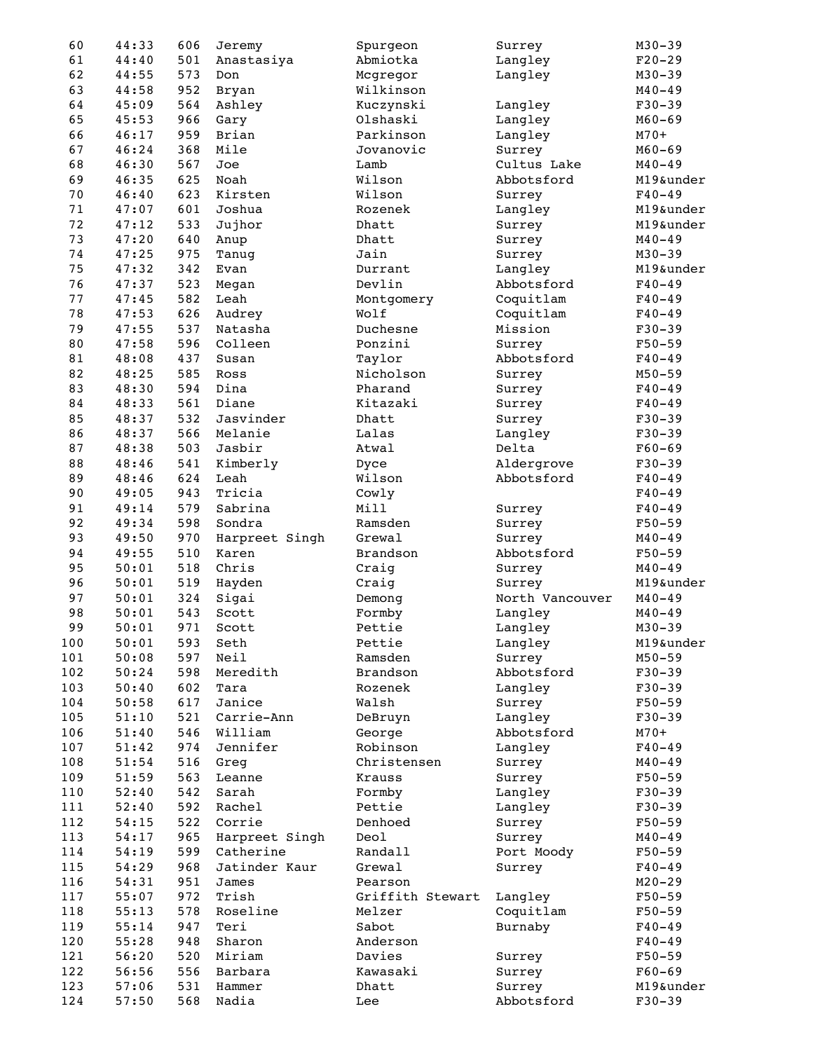| 60  | 44:33 | 606 | Jeremy         | Spurgeon         | Surrey          | $M30 - 39$ |
|-----|-------|-----|----------------|------------------|-----------------|------------|
| 61  | 44:40 | 501 | Anastasiya     | Abmiotka         | Langley         | $F20-29$   |
| 62  | 44:55 | 573 | Don            | Mcgregor         | Langley         | $M30 - 39$ |
| 63  | 44:58 | 952 | Bryan          | Wilkinson        |                 | $M40 - 49$ |
| 64  | 45:09 | 564 | Ashley         | Kuczynski        | Langley         | $F30 - 39$ |
| 65  | 45:53 | 966 | Gary           | Olshaski         | Langley         | $M60 - 69$ |
| 66  | 46:17 | 959 | Brian          | Parkinson        | Langley         | $M70+$     |
| 67  | 46:24 | 368 | Mile           | Jovanovic        | Surrey          | $M60 - 69$ |
| 68  | 46:30 | 567 | Joe            | Lamb             | Cultus Lake     | $M40 - 49$ |
| 69  | 46:35 | 625 | Noah           | Wilson           | Abbotsford      | M19&under  |
| 70  | 46:40 | 623 | Kirsten        | Wilson           | Surrey          | $F40 - 49$ |
| 71  | 47:07 | 601 | Joshua         | Rozenek          |                 | M19&under  |
| 72  |       |     |                |                  | Langley         |            |
|     | 47:12 | 533 | Jujhor         | Dhatt            | Surrey          | M19&under  |
| 73  | 47:20 | 640 | Anup           | Dhatt            | Surrey          | $M40 - 49$ |
| 74  | 47:25 | 975 | Tanug          | Jain             | Surrey          | $M30 - 39$ |
| 75  | 47:32 | 342 | Evan           | Durrant          | Langley         | M19&under  |
| 76  | 47:37 | 523 | Megan          | Devlin           | Abbotsford      | $F40 - 49$ |
| 77  | 47:45 | 582 | Leah           | Montgomery       | Coquitlam       | $F40 - 49$ |
| 78  | 47:53 | 626 | Audrey         | Wolf             | Coquitlam       | $F40 - 49$ |
| 79  | 47:55 | 537 | Natasha        | Duchesne         | Mission         | $F30 - 39$ |
| 80  | 47:58 | 596 | Colleen        | Ponzini          | Surrey          | $F50 - 59$ |
| 81  | 48:08 | 437 | Susan          | Taylor           | Abbotsford      | $F40 - 49$ |
| 82  | 48:25 | 585 | Ross           | Nicholson        | Surrey          | $M50 - 59$ |
| 83  | 48:30 | 594 | Dina           | Pharand          | Surrey          | $F40 - 49$ |
| 84  | 48:33 | 561 | Diane          | Kitazaki         | Surrey          | $F40 - 49$ |
| 85  | 48:37 | 532 | Jasvinder      | Dhatt            | Surrey          | $F30 - 39$ |
| 86  | 48:37 | 566 | Melanie        | Lalas            | Langley         | $F30 - 39$ |
| 87  | 48:38 | 503 | Jasbir         | Atwal            | Delta           | $F60 - 69$ |
| 88  | 48:46 | 541 | Kimberly       | Dyce             | Aldergrove      | $F30-39$   |
| 89  | 48:46 | 624 | Leah           | Wilson           | Abbotsford      | $F40 - 49$ |
| 90  | 49:05 | 943 | Tricia         | Cowly            |                 | $F40 - 49$ |
| 91  | 49:14 | 579 | Sabrina        | Mill             | Surrey          | $F40 - 49$ |
| 92  | 49:34 | 598 | Sondra         | Ramsden          |                 | $F50 - 59$ |
| 93  |       |     |                |                  | Surrey          |            |
|     | 49:50 | 970 | Harpreet Singh | Grewal           | Surrey          | $M40 - 49$ |
| 94  | 49:55 | 510 | Karen          | Brandson         | Abbotsford      | $F50 - 59$ |
| 95  | 50:01 | 518 | Chris          | Craig            | Surrey          | $M40 - 49$ |
| 96  | 50:01 | 519 | Hayden         | Craig            | Surrey          | M19&under  |
| 97  | 50:01 | 324 | Sigai          | Demong           | North Vancouver | $M40 - 49$ |
| 98  | 50:01 | 543 | Scott          | Formby           | Langley         | $M40 - 49$ |
| 99  | 50:01 | 971 | Scott          | Pettie           | Langley         | $M30 - 39$ |
| 100 | 50:01 | 593 | Seth           | Pettie           | Langley         | M19&under  |
| 101 | 50:08 | 597 | Neil           | Ramsden          | Surrey          | $M50 - 59$ |
| 102 | 50:24 | 598 | Meredith       | Brandson         | Abbotsford      | $F30-39$   |
| 103 | 50:40 | 602 | Tara           | Rozenek          | Langley         | $F30-39$   |
| 104 | 50:58 | 617 | Janice         | Walsh            | Surrey          | $F50 - 59$ |
| 105 | 51:10 | 521 | Carrie-Ann     | DeBruyn          | Langley         | $F30-39$   |
| 106 | 51:40 | 546 | William        | George           | Abbotsford      | $M70+$     |
| 107 | 51:42 | 974 | Jennifer       | Robinson         | Langley         | $F40 - 49$ |
| 108 | 51:54 | 516 | Greg           | Christensen      | Surrey          | $M40 - 49$ |
| 109 | 51:59 | 563 | Leanne         | Krauss           | Surrey          | $F50 - 59$ |
| 110 | 52:40 | 542 | Sarah          | Formby           | Langley         | $F30-39$   |
| 111 | 52:40 | 592 | Rachel         | Pettie           | Langley         | $F30-39$   |
| 112 | 54:15 | 522 | Corrie         | Denhoed          | Surrey          | $F50 - 59$ |
| 113 | 54:17 | 965 | Harpreet Singh | Deol             | Surrey          | $M40 - 49$ |
| 114 | 54:19 | 599 | Catherine      | Randall          | Port Moody      | $F50 - 59$ |
|     |       |     |                |                  |                 |            |
| 115 | 54:29 | 968 | Jatinder Kaur  | Grewal           | Surrey          | $F40 - 49$ |
| 116 | 54:31 | 951 | James          | Pearson          |                 | $M20 - 29$ |
| 117 | 55:07 | 972 | Trish          | Griffith Stewart | Langley         | $F50 - 59$ |
| 118 | 55:13 | 578 | Roseline       | Melzer           | Coquitlam       | $F50 - 59$ |
| 119 | 55:14 | 947 | Teri           | Sabot            | Burnaby         | $F40 - 49$ |
| 120 | 55:28 | 948 | Sharon         | Anderson         |                 | $F40 - 49$ |
| 121 |       |     |                | Davies           | Surrey          | $F50 - 59$ |
|     | 56:20 | 520 | Miriam         |                  |                 |            |
| 122 | 56:56 | 556 | Barbara        | Kawasaki         | Surrey          | $F60 - 69$ |
| 123 | 57:06 | 531 | Hammer         | Dhatt            | Surrey          | M19&under  |